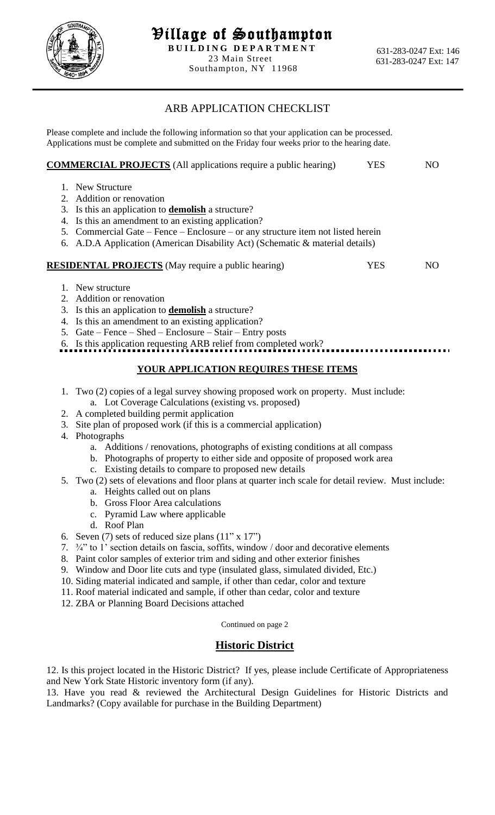

Southampton, NY 11968

## ARB APPLICATION CHECKLIST

Please complete and include the following information so that your application can be processed. Applications must be complete and submitted on the Friday four weeks prior to the hearing date.

|    | <b>COMMERCIAL PROJECTS</b> (All applications require a public hearing)           | YES | NO |
|----|----------------------------------------------------------------------------------|-----|----|
|    | 1. New Structure                                                                 |     |    |
|    | 2. Addition or renovation                                                        |     |    |
|    | 3. Is this an application to <b>demolish</b> a structure?                        |     |    |
|    | 4. Is this an amendment to an existing application?                              |     |    |
|    | 5. Commercial Gate – Fence – Enclosure – or any structure item not listed herein |     |    |
|    | 6. A.D.A Application (American Disability Act) (Schematic & material details)    |     |    |
|    | <b>RESIDENTAL PROJECTS</b> (May require a public hearing)                        | YES | NO |
|    | 1. New structure                                                                 |     |    |
|    | 2. Addition or renovation                                                        |     |    |
|    | 3. Is this an application to <b>demolish</b> a structure?                        |     |    |
| 4. | Is this an amendment to an existing application?                                 |     |    |
|    | 5. $Gate - Fence - Shed - Enclosure - Stair - Entry posts$                       |     |    |
|    | 6. Is this application requesting ARB relief from completed work?                |     |    |

## **YOUR APPLICATION REQUIRES THESE ITEMS**

- 1. Two (2) copies of a legal survey showing proposed work on property. Must include: a. Lot Coverage Calculations (existing vs. proposed)
- 2. A completed building permit application
- 3. Site plan of proposed work (if this is a commercial application)
- 4. Photographs
	- a. Additions / renovations, photographs of existing conditions at all compass
	- b. Photographs of property to either side and opposite of proposed work area
	- c. Existing details to compare to proposed new details
- 5. Two (2) sets of elevations and floor plans at quarter inch scale for detail review. Must include:
	- a. Heights called out on plans
	- b. Gross Floor Area calculations
	- c. Pyramid Law where applicable
	- d. Roof Plan
- 6. Seven (7) sets of reduced size plans  $(11" \times 17")$
- 7. ¾" to 1' section details on fascia, soffits, window / door and decorative elements
- 8. Paint color samples of exterior trim and siding and other exterior finishes
- 9. Window and Door lite cuts and type (insulated glass, simulated divided, Etc.)
- 10. Siding material indicated and sample, if other than cedar, color and texture
- 11. Roof material indicated and sample, if other than cedar, color and texture
- 12. ZBA or Planning Board Decisions attached

Continued on page 2

## **Historic District**

12. Is this project located in the Historic District? If yes, please include Certificate of Appropriateness and New York State Historic inventory form (if any).

13. Have you read & reviewed the Architectural Design Guidelines for Historic Districts and Landmarks? (Copy available for purchase in the Building Department)